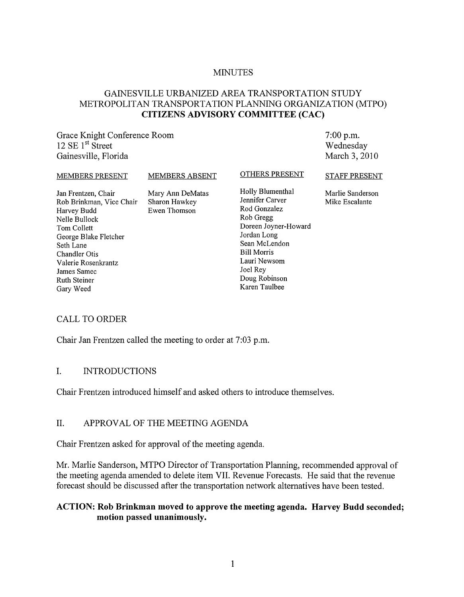#### **MINUTES**

## GAINESVILLE URBANIZED AREA TRANSPORTATION STUDY METROPOLITAN TRANSPORTATION PLANNING ORGANIZATION (MTPO) **CITIZENS ADVISORY COMMITTEE (CAC)**

Grace Knight Conference Room  $12$  SE  $1<sup>st</sup>$  Street Gainesville, Florida

7:00 p.m. Wednesday March 3, 2010

#### MEMBERS PRESENT

MEMBERS ABSENT

OTHERS PRESENT

Jan Frentzen, Chair Rob Brinkman, Vice Chair Harvey Budd Nelle Bullock Tom Collett George Blake Fletcher Seth Lane Chandler Otis Valerie Rosenkrantz James Samec Ruth Steiner Gary Weed

Mary Ann DeMatas Sharon Hawkey Ewen Thomson

Holly Blumenthal Jennifer Carver Rod Gonzalez Rob Gregg Doreen Joyner-Howard Jordan Long Sean McLendon Bill Morris Lauri Newsom Joel Rey Doug Robinson Karen Taulbee

STAFF PRESENT

Marlie Sanderson Mike Escalante

## CALL TO ORDER

Chair Jan Frentzen called the meeting to order at 7:03 p.m.

#### I. INTRODUCTIONS

Chair Frentzen introduced himself and asked others to introduce themselves.

## II. APPROVAL OF THE MEETING AGENDA

Chair Frentzen asked for approval of the meeting agenda.

Mr. Marlie Sanderson, MTPO Director of Transportation Planning, recommended approval of the meeting agenda amended to delete item VII. Revenue Forecasts. He said that the revenue forecast should be discussed after the transportation network alternatives have been tested.

#### **ACTION: Rob Brinkman moved to approve the meeting agenda. Harvey Budd seconded; motion passed unanimously.**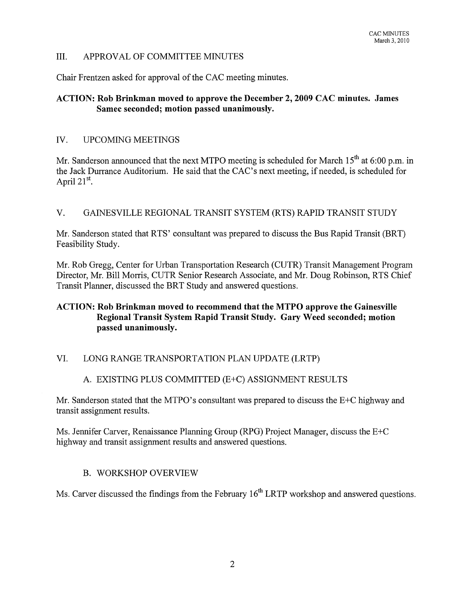### III. APPROV AL OF COMMITTEE MINUTES

Chair Frentzen asked for approval of the CAC meeting minutes.

## ACTION: Rob Brinkman moved to approve the December 2, 2009 CAC minutes. James Samec seconded; motion passed unanimously.

#### IV. UPCOMING MEETINGS

Mr. Sanderson announced that the next MTPO meeting is scheduled for March  $15<sup>th</sup>$  at 6:00 p.m. in the Jack Durrance Auditorium. He said that the CAC's next meeting, if needed, is scheduled for April  $21^{st}$ .

## V. GAINESVILLE REGIONAL TRANSIT SYSTEM (RTS) RAPID TRANSIT STUDY

Mr. Sanderson stated that RTS' consultant was prepared to discuss the Bus Rapid Transit (BRT) Feasibility Study.

Mr. Rob Gregg, Center for Urban Transportation Research (CUTR) Transit Management Program Director, Mr. Bill Morris, CUTR Senior Research Associate, and Mr. Doug Robinson, RTS Chief Transit Planner, discussed the BRT Study and answered questions.

## ACTION: Rob Brinkman moved to recommend that the MTPO approve the Gainesville Regional Transit System Rapid Transit Study. Gary Weed seconded; motion passed unanimously.

## VI. LONG RANGE TRANSPORTATION PLAN UPDATE (LRTP)

## A. EXISTING PLUS COMMITTED (E+C) ASSIGNMENT RESULTS

Mr. Sanderson stated that the MTPO's consultant was prepared to discuss the E+C highway and transit assignment results.

Ms. Jennifer Carver, Renaissance Planning Group (RPG) Project Manager, discuss the E+C highway and transit assignment results and answered questions.

#### B. WORKSHOP OVERVIEW

Ms. Carver discussed the findings from the February  $16<sup>th</sup> LRTP$  workshop and answered questions.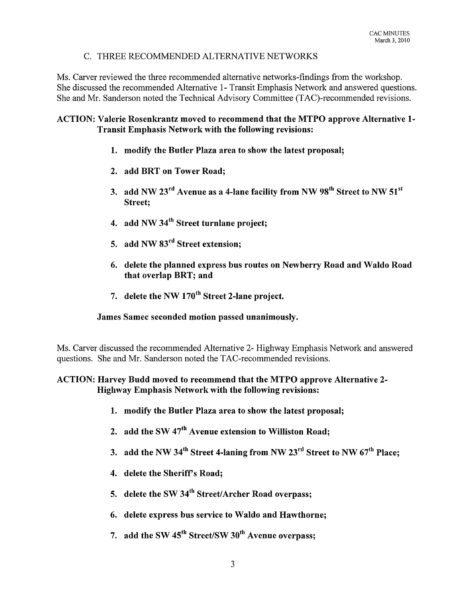## C. THREE RECOMMENDED ALTERNATIVE NETWORKS

Ms. Carver reviewed the three recommended alternative networks-findings from the workshop. She discussed the recommended Alternative 1- Transit Emphasis Network and answered questions. She and Mr. Sanderson noted the Technical Advisory Committee (TAC)-recommended revisions.

### ACTION: Valerie Rosenkrantz moved to recommend that the MTPO approve Alternative 1- Transit Emphasis Network with the following revisions:

- 1. modify the Butler Plaza area to show the latest proposal;
- 2. add BRT on Tower Road;
- 3. add NW  $23<sup>rd</sup>$  Avenue as a 4-lane facility from NW  $98<sup>th</sup>$  Street to NW  $51<sup>st</sup>$ Street;
- 4. add NW 34<sup>th</sup> Street turnlane project;
- 5. add NW 83<sup>rd</sup> Street extension;
- 6. delete the planned express bus routes on Newberry Road and Waldo Road that overlap BRT; and
- 7. delete the NW 170<sup>th</sup> Street 2-lane project.

#### James Samec seconded motion passed unanimously.

Ms. Carver discussed the recommended Alternative 2- Highway Emphasis Network and answered questions. She and Mr. Sanderson noted the TAC-recommended revisions.

## ACTION: Harvey Budd moved to recommend that the MTPO approve Alternative 2- Highway Emphasis Network with the following revisions:

- 1. modify the Butler Plaza area to show the latest proposal;
- 2. add the SW 47<sup>th</sup> Avenue extension to Williston Road:
- 3. add the NW 34<sup>th</sup> Street 4-laning from NW 23<sup>rd</sup> Street to NW  $67<sup>th</sup>$  Place;
- 4. delete the Sheriff's Road;
- 5. delete the SW  $34<sup>th</sup>$  Street/Archer Road overpass;
- 6. delete express bus service to Waldo and Hawthorne;
- 7. add the SW  $45<sup>th</sup>$  Street/SW  $30<sup>th</sup>$  Avenue overpass: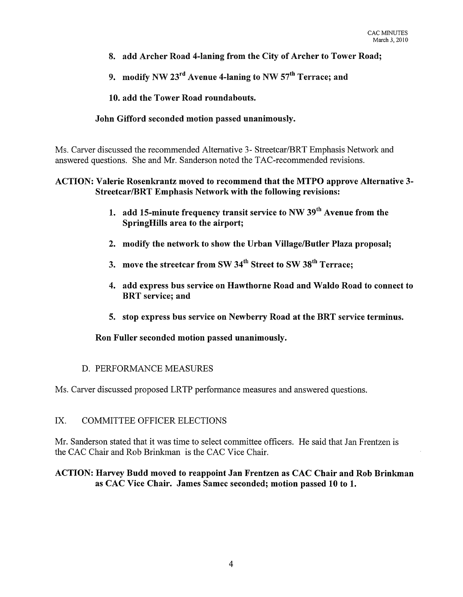- 8. add Archer Road 4-laning from the City of Archer to Tower Road;
- 9. modify NW  $23<sup>rd</sup>$  Avenue 4-laning to NW  $57<sup>th</sup>$  Terrace; and

10. add the Tower Road roundabouts.

## John Gifford seconded motion passed unanimously.

Ms. Carver discussed the recommended Alternative 3- Streetcar/BRT Emphasis Network and answered questions. She and Mr. Sanderson noted the TAC-recommended revisions.

## ACTION: Valerie Rosenkrantz moved to recommend that the MTPO approve Alternative 3- Streetcar/BRT Emphasis Network with the following revisions:

- 1. add 15-minute frequency transit service to NW  $39<sup>th</sup>$  Avenue from the SpringHills area to the airport;
- 2. modify the network to show the Urban Village/Butler Plaza proposal;
- 3. move the streetcar from SW 34<sup>th</sup> Street to SW 38<sup>th</sup> Terrace;
- 4. add express bus service on Hawthorne Road and Waldo Road to connect to BRT service; and
- 5. stop express bus service on Newberry Road at the BRT service terminus.

Ron Fuller seconded motion passed unanimously.

## D. PERFORMANCE MEASURES

Ms. Carver discussed proposed LRTP performance measures and answered questions.

## IX. COMMITTEE OFFICER ELECTIONS

Mr. Sanderson stated that it was time to select committee officers. He said that Jan Frentzen is the CAC Chair and Rob Brinkman is the CAC Vice Chair.

## ACTION: Harvey Budd moved to reappoint Jan Frentzen as CAC Chair and Rob Brinkman as CAC Vice Chair. James Samec seconded; motion passed **10** to 1.